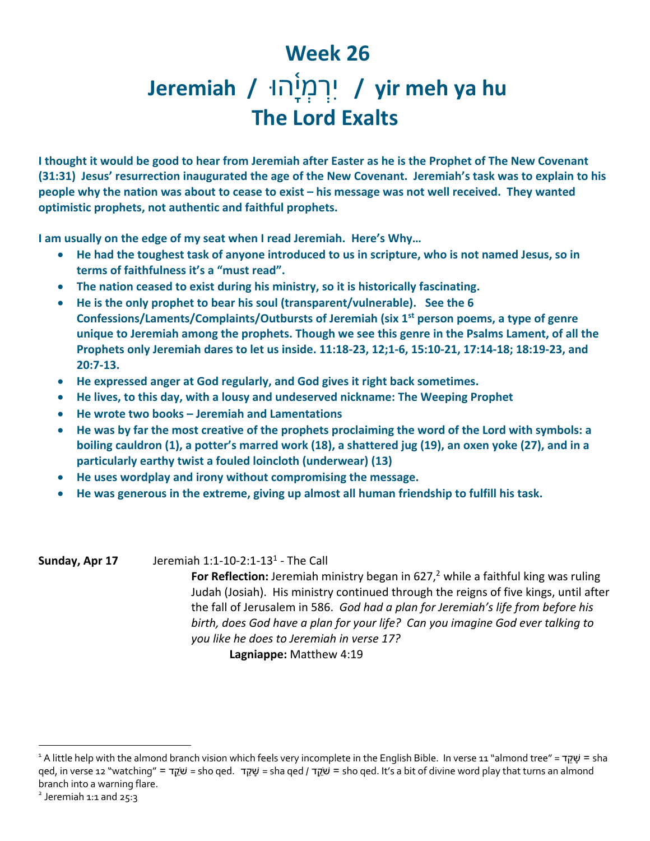## **Week 26**

## **hu ya meh yir /** וּה֫ ָיְמְרִי **/ Jeremiah The Lord Exalts**

**I thought it would be good to hear from Jeremiah after Easter as he is the Prophet of The New Covenant (31:31) Jesus' resurrection inaugurated the age of the New Covenant. Jeremiah's task was to explain to his people why the nation was about to cease to exist – his message was not well received. They wanted optimistic prophets, not authentic and faithful prophets.** 

**I am usually on the edge of my seat when I read Jeremiah. Here's Why…**

- **He had the toughest task of anyone introduced to us in scripture, who is not named Jesus, so in terms of faithfulness it's a "must read".**
- **The nation ceased to exist during his ministry, so it is historically fascinating.**
- **He is the only prophet to bear his soul (transparent/vulnerable). See the 6 Confessions/Laments/Complaints/Outbursts of Jeremiah (six 1st person poems, a type of genre unique to Jeremiah among the prophets. Though we see this genre in the Psalms Lament, of all the Prophets only Jeremiah dares to let us inside. 11:18-23, 12;1-6, 15:10-21, 17:14-18; 18:19-23, and 20:7-13.**
- **He expressed anger at God regularly, and God gives it right back sometimes.**
- **He lives, to this day, with a lousy and undeserved nickname: The Weeping Prophet**
- **He wrote two books – Jeremiah and Lamentations**
- **He was by far the most creative of the prophets proclaiming the word of the Lord with symbols: a boiling cauldron (1), a potter's marred work (18), a shattered jug (19), an oxen yoke (27), and in a particularly earthy twist a fouled loincloth (underwear) (13)**
- **He uses wordplay and irony without compromising the message.**
- **He was generous in the extreme, giving up almost all human friendship to fulfill his task.**

**Sunday, Apr 17** Jeremiah 1:1-10-2:1-131 - The Call **For Reflection:** Jeremiah ministry began in 627, <sup>2</sup> while a faithful king was ruling Judah (Josiah). His ministry continued through the reigns of five kings, until after the fall of Jerusalem in 586. *God had a plan for Jeremiah's life from before his birth, does God have a plan for your life? Can you imagine God ever talking to you like he does to Jeremiah in verse 17?* **Lagniappe:** Matthew 4:19

<sup>1</sup> A little help with the almond branch vision which feels very incomplete in the English Bible. In verse 11 "almond tree" = קדֵשָׁ = sha qed, in verse 12 "watching" = קדֵֹ֥שׁ = sho qed. קדֵשָׁ = sha qed / קדֵֹ֥שׁ = sho qed. It's a bit of divine word play that turns an almond branch into a warning flare.

 $2$  Jeremiah 1:1 and 25:3